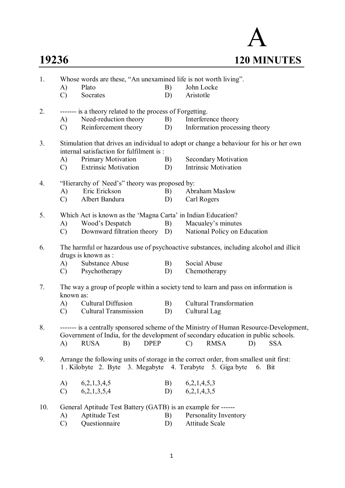# A **19236 120 MINUTES**

| 1.  | Whose words are these, "An unexamined life is not worth living".                                              |                                                               |    |                                                                                                                                                                                                                                  |  |  |  |  |  |
|-----|---------------------------------------------------------------------------------------------------------------|---------------------------------------------------------------|----|----------------------------------------------------------------------------------------------------------------------------------------------------------------------------------------------------------------------------------|--|--|--|--|--|
|     | A)                                                                                                            | Plato                                                         | B) | John Locke                                                                                                                                                                                                                       |  |  |  |  |  |
|     | $\mathcal{C}$                                                                                                 | Socrates                                                      | D) | Aristotle                                                                                                                                                                                                                        |  |  |  |  |  |
| 2.  |                                                                                                               | ------- is a theory related to the process of Forgetting.     |    |                                                                                                                                                                                                                                  |  |  |  |  |  |
|     | (A)                                                                                                           | Need-reduction theory                                         | B) | Interference theory                                                                                                                                                                                                              |  |  |  |  |  |
|     | $\mathcal{C}$                                                                                                 | Reinforcement theory                                          | D) | Information processing theory                                                                                                                                                                                                    |  |  |  |  |  |
| 3.  |                                                                                                               | internal satisfaction for fulfilment is:                      |    | Stimulation that drives an individual to adopt or change a behaviour for his or her own                                                                                                                                          |  |  |  |  |  |
|     | (A)                                                                                                           | Primary Motivation                                            | B) | <b>Secondary Motivation</b>                                                                                                                                                                                                      |  |  |  |  |  |
|     | $\mathcal{C}$                                                                                                 | <b>Extrinsic Motivation</b>                                   | D) | <b>Intrinsic Motivation</b>                                                                                                                                                                                                      |  |  |  |  |  |
| 4.  |                                                                                                               | "Hierarchy of Need's" theory was proposed by:                 |    |                                                                                                                                                                                                                                  |  |  |  |  |  |
|     | Eric Erickson<br>A)                                                                                           |                                                               |    | Abraham Maslow                                                                                                                                                                                                                   |  |  |  |  |  |
|     | $\mathcal{C}$                                                                                                 | Albert Bandura                                                | D) | Carl Rogers                                                                                                                                                                                                                      |  |  |  |  |  |
| 5.  | Which Act is known as the 'Magna Carta' in Indian Education?                                                  |                                                               |    |                                                                                                                                                                                                                                  |  |  |  |  |  |
|     | A)                                                                                                            | Wood's Despatch                                               | B) | Macualey's minutes                                                                                                                                                                                                               |  |  |  |  |  |
|     | $\mathcal{C}$                                                                                                 | Downward filtration theory D)                                 |    | National Policy on Education                                                                                                                                                                                                     |  |  |  |  |  |
| 6.  | The harmful or hazardous use of psychoactive substances, including alcohol and illicit<br>drugs is known as : |                                                               |    |                                                                                                                                                                                                                                  |  |  |  |  |  |
|     | A)                                                                                                            | Substance Abuse                                               | B) | Social Abuse                                                                                                                                                                                                                     |  |  |  |  |  |
|     |                                                                                                               | C) Psychotherapy                                              | D) | Chemotherapy                                                                                                                                                                                                                     |  |  |  |  |  |
| 7.  | known as:                                                                                                     |                                                               |    | The way a group of people within a society tend to learn and pass on information is                                                                                                                                              |  |  |  |  |  |
|     | (A)                                                                                                           | <b>Cultural Diffusion</b>                                     | B) | <b>Cultural Transformation</b>                                                                                                                                                                                                   |  |  |  |  |  |
|     | $\mathcal{C}$                                                                                                 | <b>Cultural Transmission</b>                                  | D) | Cultural Lag                                                                                                                                                                                                                     |  |  |  |  |  |
| 8.  | A)                                                                                                            | <b>DPEP</b><br><b>RUSA</b><br>B)                              |    | ------- is a centrally sponsored scheme of the Ministry of Human Resource-Development,<br>Government of India, for the development of secondary education in public schools.<br><b>RMSA</b><br><b>SSA</b><br>$\mathcal{C}$<br>D) |  |  |  |  |  |
|     |                                                                                                               |                                                               |    |                                                                                                                                                                                                                                  |  |  |  |  |  |
| 9.  |                                                                                                               | 1. Kilobyte 2. Byte 3. Megabyte 4. Terabyte 5. Giga byte      |    | Arrange the following units of storage in the correct order, from smallest unit first:<br>6. Bit                                                                                                                                 |  |  |  |  |  |
|     | A)                                                                                                            | 6,2,1,3,4,5                                                   | B) | 6,2,1,4,5,3                                                                                                                                                                                                                      |  |  |  |  |  |
|     | $\mathcal{C}$                                                                                                 | 6,2,1,3,5,4                                                   | D) | 6,2,1,4,3,5                                                                                                                                                                                                                      |  |  |  |  |  |
| 10. |                                                                                                               | General Aptitude Test Battery (GATB) is an example for ------ |    |                                                                                                                                                                                                                                  |  |  |  |  |  |
|     | A)                                                                                                            | <b>Aptitude Test</b>                                          | B) | Personality Inventory                                                                                                                                                                                                            |  |  |  |  |  |
|     | $\mathcal{C}$                                                                                                 | Questionnaire                                                 | D) | Attitude Scale                                                                                                                                                                                                                   |  |  |  |  |  |
|     |                                                                                                               |                                                               |    |                                                                                                                                                                                                                                  |  |  |  |  |  |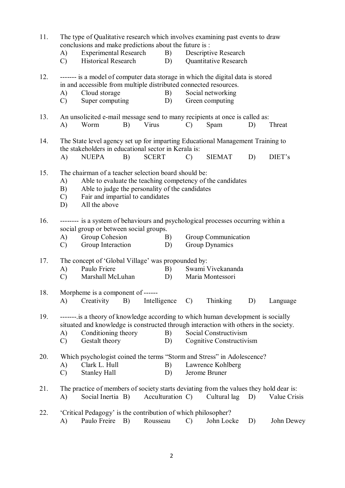| 11. | The type of Qualitative research which involves examining past events to draw<br>conclusions and make predictions about the future is : |                                                                                                                                                                                                                            |    |              |                  |               |                                                   |    |              |
|-----|-----------------------------------------------------------------------------------------------------------------------------------------|----------------------------------------------------------------------------------------------------------------------------------------------------------------------------------------------------------------------------|----|--------------|------------------|---------------|---------------------------------------------------|----|--------------|
|     | A)<br>$\mathcal{C}$                                                                                                                     | <b>Experimental Research</b><br>Historical Research                                                                                                                                                                        |    |              | B)<br>D)         |               | Descriptive Research<br>Quantitative Research     |    |              |
| 12. | A)<br>$\mathcal{C}$                                                                                                                     | ------- is a model of computer data storage in which the digital data is stored<br>in and accessible from multiple distributed connected resources.<br>Cloud storage<br>Super computing                                    |    |              | B)<br>D)         |               | Social networking<br>Green computing              |    |              |
| 13. | A)                                                                                                                                      | An unsolicited e-mail message send to many recipients at once is called as:<br>Worm                                                                                                                                        | B) | Virus        |                  | $\mathcal{C}$ | Spam                                              | D) | Threat       |
| 14. | The State level agency set up for imparting Educational Management Training to<br>the stakeholders in educational sector in Kerala is:  |                                                                                                                                                                                                                            |    |              |                  |               |                                                   |    |              |
|     | A)                                                                                                                                      | <b>NUEPA</b>                                                                                                                                                                                                               | B) | <b>SCERT</b> |                  | $\mathcal{C}$ | <b>SIEMAT</b>                                     | D) | DIET's       |
| 15. | A)<br>B)<br>$\mathcal{C}$<br>D)                                                                                                         | The chairman of a teacher selection board should be:<br>Able to evaluate the teaching competency of the candidates<br>Able to judge the personality of the candidates<br>Fair and impartial to candidates<br>All the above |    |              |                  |               |                                                   |    |              |
| 16. | A)<br>$\mathcal{C}$                                                                                                                     | -------- is a system of behaviours and psychological processes occurring within a<br>social group or between social groups.<br>Group Cohesion<br>Group Interaction                                                         |    |              | B)<br>D)         |               | Group Communication<br>Group Dynamics             |    |              |
| 17. | A)<br>$\mathcal{C}$                                                                                                                     | The concept of 'Global Village' was propounded by:<br>Paulo Friere<br>Marshall McLuhan                                                                                                                                     |    |              | B)<br>D)         |               | Swami Vivekananda<br>Maria Montessori             |    |              |
| 18. | A)                                                                                                                                      | Morpheme is a component of ------<br>Creativity                                                                                                                                                                            | B) | Intelligence |                  | $\mathcal{C}$ | <b>Thinking</b>                                   | D) | Language     |
| 19. | A)<br>$\mathcal{C}$                                                                                                                     | ------- is a theory of knowledge according to which human development is socially<br>situated and knowledge is constructed through interaction with others in the society.<br>Conditioning theory<br>Gestalt theory        |    |              | B)<br>D)         |               | Social Constructivism<br>Cognitive Constructivism |    |              |
| 20. | A)<br>$\mathcal{C}$                                                                                                                     | Which psychologist coined the terms "Storm and Stress" in Adolescence?<br>Clark L. Hull<br><b>Stanley Hall</b>                                                                                                             |    |              | B)<br>D)         |               | Lawrence Kohlberg<br>Jerome Bruner                |    |              |
| 21. | A)                                                                                                                                      | The practice of members of society starts deviating from the values they hold dear is:<br>Social Inertia B)                                                                                                                |    |              | Acculturation C) |               | Cultural lag                                      | D) | Value Crisis |
| 22. | A)                                                                                                                                      | 'Critical Pedagogy' is the contribution of which philosopher?<br>Paulo Freire B)                                                                                                                                           |    | Rousseau     |                  | $\mathcal{C}$ | John Locke                                        | D) | John Dewey   |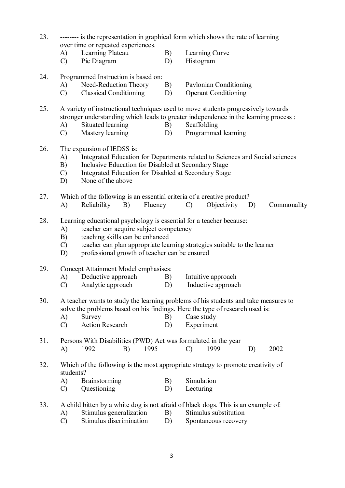- 23. -------- is the representation in graphical form which shows the rate of learning over time or repeated experiences.
	- A) Learning Plateau B) Learning Curve
	- C) Pie Diagram D) Histogram
- 24. Programmed Instruction is based on:
	- A) Need-Reduction Theory B) Pavlonian Conditioning
	- C) Classical Conditioning D) Operant Conditioning
- 25. A variety of instructional techniques used to move students progressively towards stronger understanding which leads to greater independence in the learning process :
	- A) Situated learning B) Scaffolding
	- C) Mastery learning D) Programmed learning
- 26. The expansion of IEDSS is:
	- A) Integrated Education for Departments related to Sciences and Social sciences
	- B) Inclusive Education for Disabled at Secondary Stage
	- C) Integrated Education for Disabled at Secondary Stage
	- D) None of the above
- 27. Which of the following is an essential criteria of a creative product?
	- A) Reliability B) Fluency C) Objectivity D) Commonality
- 28. Learning educational psychology is essential for a teacher because:
	- A) teacher can acquire subject competency
	- B) teaching skills can be enhanced
	- C) teacher can plan appropriate learning strategies suitable to the learner
	- D) professional growth of teacher can be ensured
- 29. Concept Attainment Model emphasises:
	- A) Deductive approach B) Intuitive approach
	- C) Analytic approach D) Inductive approach
- 30. A teacher wants to study the learning problems of his students and take measures to solve the problems based on his findings. Here the type of research used is:
	- A) Survey B) Case study
	- C) Action Research D) Experiment
- 31. Persons With Disabilities (PWD) Act was formulated in the year A) 1992 B) 1995 C) 1999 D) 2002
- 32. Which of the following is the most appropriate strategy to promote creativity of students?
	- A) Brainstorming B) Simulation
	- C) Questioning D) Lecturing
- 33. A child bitten by a white dog is not afraid of black dogs. This is an example of:
	- A) Stimulus generalization B) Stimulus substitution
	- C) Stimulus discrimination D) Spontaneous recovery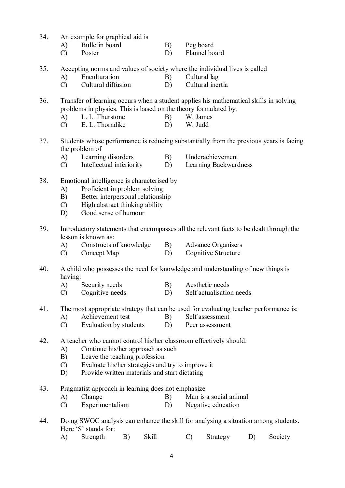- 34. An example for graphical aid is
	- A) Bulletin board B) Peg board
	- C) Poster D) Flannel board
- 35. Accepting norms and values of society where the individual lives is called
	- A) Enculturation B) Cultural lag<br>
	C) Cultural diffusion D) Cultural inertia
	- $(C)$  Cultural diffusion D)

36. Transfer of learning occurs when a student applies his mathematical skills in solving problems in physics. This is based on the theory formulated by:

- A) L. L. Thurstone B) W. James
- C) E. L. Thorndike D) W. Judd
- 37. Students whose performance is reducing substantially from the previous years is facing the problem of
	- A) Learning disorders B) Underachievement
	- C) Intellectual inferiority D) Learning Backwardness
- 38. Emotional intelligence is characterised by
	- A) Proficient in problem solving
	- B) Better interpersonal relationship
	- C) High abstract thinking ability
	- D) Good sense of humour
- 39. Introductory statements that encompasses all the relevant facts to be dealt through the lesson is known as:
	- A) Constructs of knowledge B) Advance Organisers
	- C) Concept Map D) Cognitive Structure
- 40. A child who possesses the need for knowledge and understanding of new things is having:
	- A) Security needs B) Aesthetic needs
	- C) Cognitive needs D) Self actualisation needs
- 41. The most appropriate strategy that can be used for evaluating teacher performance is:
	- A) Achievement test B) Self assessment
	- C) Evaluation by students D) Peer assessment
- 42. A teacher who cannot control his/her classroom effectively should:
	- A) Continue his/her approach as such
	- B) Leave the teaching profession
	- C) Evaluate his/her strategies and try to improve it
	- D) Provide written materials and start dictating
- 43. Pragmatist approach in learning does not emphasize
	- A) Change B) Man is a social animal
	- C) Experimentalism D) Negative education
- 44. Doing SWOC analysis can enhance the skill for analysing a situation among students. Here 'S' stands for:
	- A) Strength B) Skill C) Strategy D) Society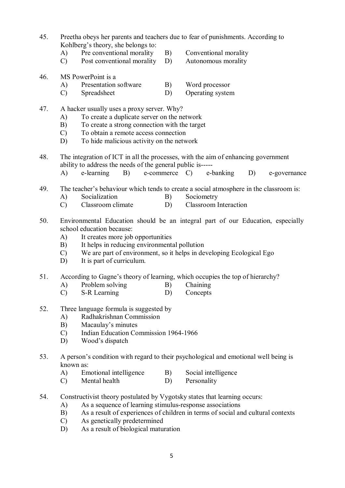- 45. Preetha obeys her parents and teachers due to fear of punishments. According to Kohlberg's theory, she belongs to:
	- A) Pre conventional morality B) Conventional morality
	- C) Post conventional morality D) Autonomous morality
- -
- 46. MS PowerPoint is a
	- A) Presentation software B) Word processor
	- C) Spreadsheet D) Operating system
- 47. A hacker usually uses a proxy server. Why?
	- A) To create a duplicate server on the network
	- B) To create a strong connection with the target
	- C) To obtain a remote access connection
	- D) To hide malicious activity on the network
- 48. The integration of ICT in all the processes, with the aim of enhancing government ability to address the needs of the general public is-----
	- A) e-learning B) e-commerce C) e-banking D) e-governance
- 49. The teacher's behaviour which tends to create a social atmosphere in the classroom is:
	- A) Socialization B) Sociometry
	- C) Classroom climate D) Classroom Interaction
- 50. Environmental Education should be an integral part of our Education, especially school education because:
	- A) It creates more job opportunities
	- B) It helps in reducing environmental pollution
	- C) We are part of environment, so it helps in developing Ecological Ego
	- D) It is part of curriculum.
- 51. According to Gagne's theory of learning, which occupies the top of hierarchy?
	- A) Problem solving B) Chaining
	- C) S-R Learning D) Concepts
- 52. Three language formula is suggested by
	- A) Radhakrishnan Commission
	- B) Macaulay's minutes
	- C) Indian Education Commission 1964-1966<br>D) Wood's dispatch
	- Wood's dispatch
- 53. A person's condition with regard to their psychological and emotional well being is known as:
	- A) Emotional intelligence B) Social intelligence
	- C) Mental health D) Personality
- 54. Constructivist theory postulated by Vygotsky states that learning occurs:
	- A) As a sequence of learning stimulus-response associations
	- B) As a result of experiences of children in terms of social and cultural contexts
	- C) As genetically predetermined
	- D) As a result of biological maturation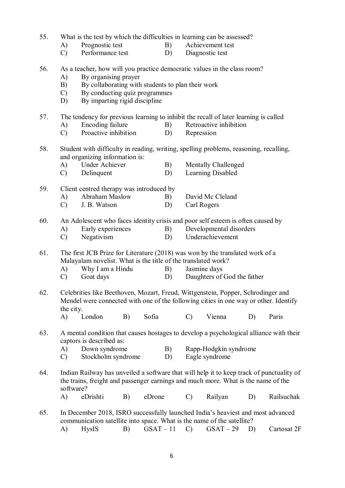| 55. | What is the test by which the difficulties in learning can be assessed? |  |  |
|-----|-------------------------------------------------------------------------|--|--|
|     |                                                                         |  |  |

- A) Prognostic test B) Achievement test
- C) Performance test D) Diagnostic test
- 56. As a teacher, how will you practice democratic values in the class room?
	- A) By organising prayer<br>B) By collaborating with
	- B) By collaborating with students to plan their work
	- C) By conducting quiz programmes
	- D) By imparting rigid discipline

57. The tendency for previous learning to inhibit the recall of later learning is called

- A) Encoding failure B) Retroactive inhibition
- C) Proactive inhibition D) Repression
- 58. Student with difficulty in reading, writing, spelling problems, reasoning, recalling, and organizing information is:
	- A) Under Achiever B) Mentally Challenged
	- C) Delinquent D) Learning Disabled
- 59. Client centred therapy was introduced by
	- A) Abraham Maslow B) David Mc Cleland
	- C) J. B. Watson D) Carl Rogers
- 60. An Adolescent who faces identity crisis and poor self esteem is often caused by
	- A) Early experiences B) Developmental disorders
	- C) Negativism D) Underachievement
- 61. The first JCB Prize for Literature (2018) was won by the translated work of a Malayalam novelist. What is the title of the translated work?
	- A) Why I am a Hindu B) Jasmine days
	- C) Goat days D) Daughters of God the father
- 62. Celebrities like Beethoven, Mozart, Freud, Wittgenstein, Popper, Schrodinger and Mendel were connected with one of the following cities in one way or other. Identify the city.
	- A) London B) Sofia C) Vienna D) Paris
- 63. A mental condition that causes hostages to develop a psychological alliance with their captors is described as:
	- A) Down syndrome B) Rapp-Hodgkin syndrome
	- C) Stockholm syndrome D) Eagle syndrome
- 64. Indian Railway has unveiled a software that will help it to keep track of punctuality of the trains, freight and passenger earnings and much more. What is the name of the software?

A) eDrishti B) eDrone C) Railyan D) Railsuchak

- 65. In December 2018, ISRO successfully launched India's heaviest and most advanced communication satellite into space. What is the name of the satellite?
	- A) HysIS B) GSAT 11 C) GSAT 29 D) Cartosat 2F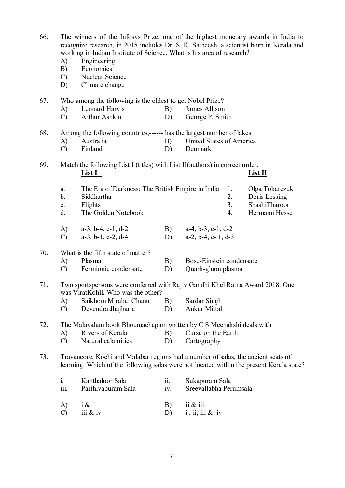| 66. | A)<br>B)<br>$\mathcal{C}$                                                                                                                                                     | The winners of the Infosys Prize, one of the highest monetary awards in India to<br>recognize research, in 2018 includes Dr. S. K. Satheesh, a scientist born in Kerala and<br>working in Indian Institute of Science. What is his area of research?<br>Engineering<br>Economics<br>Nuclear Science |                          |                               |               |  |  |  |  |  |
|-----|-------------------------------------------------------------------------------------------------------------------------------------------------------------------------------|-----------------------------------------------------------------------------------------------------------------------------------------------------------------------------------------------------------------------------------------------------------------------------------------------------|--------------------------|-------------------------------|---------------|--|--|--|--|--|
|     | D)                                                                                                                                                                            | Climate change                                                                                                                                                                                                                                                                                      |                          |                               |               |  |  |  |  |  |
| 67. |                                                                                                                                                                               | Who among the following is the oldest to get Nobel Prize?                                                                                                                                                                                                                                           |                          |                               |               |  |  |  |  |  |
|     | A)                                                                                                                                                                            | Leonard Harvis                                                                                                                                                                                                                                                                                      | B)                       | James Allison                 |               |  |  |  |  |  |
|     | $\mathcal{C}$                                                                                                                                                                 | Arthur Ashkin                                                                                                                                                                                                                                                                                       | D)                       | George P. Smith               |               |  |  |  |  |  |
| 68. | Among the following countries,------ has the largest number of lakes.                                                                                                         |                                                                                                                                                                                                                                                                                                     |                          |                               |               |  |  |  |  |  |
|     | A)                                                                                                                                                                            | Australia                                                                                                                                                                                                                                                                                           | B)                       | United States of America      |               |  |  |  |  |  |
|     | $\mathcal{C}$                                                                                                                                                                 | Finland                                                                                                                                                                                                                                                                                             | D)                       | Denmark                       |               |  |  |  |  |  |
| 69. |                                                                                                                                                                               | Match the following List I (titles) with List II (authors) in correct order.                                                                                                                                                                                                                        |                          |                               |               |  |  |  |  |  |
|     |                                                                                                                                                                               | <u>List I</u>                                                                                                                                                                                                                                                                                       |                          |                               | List II       |  |  |  |  |  |
|     | a.                                                                                                                                                                            | The Era of Darkness: The British Empire in India                                                                                                                                                                                                                                                    | Olga Tokarczuk           |                               |               |  |  |  |  |  |
|     | b.                                                                                                                                                                            | Siddhartha                                                                                                                                                                                                                                                                                          |                          | 2.                            | Doris Lessing |  |  |  |  |  |
|     | $\mathbf{c}$ .                                                                                                                                                                | Flights                                                                                                                                                                                                                                                                                             |                          | 3 <sub>1</sub>                | ShashiTharoor |  |  |  |  |  |
|     | d.                                                                                                                                                                            | The Golden Notebook                                                                                                                                                                                                                                                                                 |                          | 4.                            | Hermann Hesse |  |  |  |  |  |
|     | A)                                                                                                                                                                            | $a-3$ , $b-4$ , $c-1$ , $d-2$                                                                                                                                                                                                                                                                       | B)                       | $a-4, b-3, c-1, d-2$          |               |  |  |  |  |  |
|     | $\mathcal{C}$                                                                                                                                                                 | $a-3$ , $b-1$ , $c-2$ , $d-4$                                                                                                                                                                                                                                                                       | D)                       | $a-2$ , $b-4$ , $c-1$ , $d-3$ |               |  |  |  |  |  |
| 70. |                                                                                                                                                                               | What is the fifth state of matter?                                                                                                                                                                                                                                                                  |                          |                               |               |  |  |  |  |  |
|     | A)                                                                                                                                                                            | Plasma                                                                                                                                                                                                                                                                                              | B)                       | Bose-Einstein condensate      |               |  |  |  |  |  |
|     | $\mathcal{C}$                                                                                                                                                                 | Fermionic condensate                                                                                                                                                                                                                                                                                | D)                       | Quark-gluon plasma            |               |  |  |  |  |  |
| 71. | Two sportspersons were conferred with Rajiv Gandhi Khel Ratna Award 2018. One                                                                                                 |                                                                                                                                                                                                                                                                                                     |                          |                               |               |  |  |  |  |  |
|     | was ViratKohli. Who was the other?                                                                                                                                            |                                                                                                                                                                                                                                                                                                     |                          |                               |               |  |  |  |  |  |
|     | A)                                                                                                                                                                            | Saikhom Mirabai Chanu                                                                                                                                                                                                                                                                               | B)                       | Sardar Singh                  |               |  |  |  |  |  |
|     | $\mathcal{C}$                                                                                                                                                                 | Devendra Jhajharia                                                                                                                                                                                                                                                                                  | D)                       | <b>Ankur Mittal</b>           |               |  |  |  |  |  |
| 72. | The Malayalam book Bhoumachapam written by C S Meenakshi deals with                                                                                                           |                                                                                                                                                                                                                                                                                                     |                          |                               |               |  |  |  |  |  |
|     | A)                                                                                                                                                                            | Rivers of Kerala                                                                                                                                                                                                                                                                                    | Curse on the Earth<br>B) |                               |               |  |  |  |  |  |
|     | $\mathcal{C}$                                                                                                                                                                 | Natural calamities                                                                                                                                                                                                                                                                                  | D)                       | Cartography                   |               |  |  |  |  |  |
| 73. | Travancore, Kochi and Malabar regions had a number of salas, the ancient seats of<br>learning. Which of the following salas were not located within the present Kerala state? |                                                                                                                                                                                                                                                                                                     |                          |                               |               |  |  |  |  |  |
|     | $\mathbf{i}$ .                                                                                                                                                                | Kanthaloor Sala                                                                                                                                                                                                                                                                                     | ii.                      | Sukapuram Sala                |               |  |  |  |  |  |
|     | $\overline{iii}$ .                                                                                                                                                            | Parthivapuram Sala                                                                                                                                                                                                                                                                                  | iv.                      | Sreevallabha Perumsala        |               |  |  |  |  |  |
|     | A)                                                                                                                                                                            | $i \& ii$                                                                                                                                                                                                                                                                                           | B)                       | $i\in \mathcal{X}$ iii        |               |  |  |  |  |  |
|     | $\mathcal{C}$                                                                                                                                                                 | iii $\&$ iv                                                                                                                                                                                                                                                                                         | D)                       | $i$ , ii, iii & iv            |               |  |  |  |  |  |
|     |                                                                                                                                                                               |                                                                                                                                                                                                                                                                                                     |                          |                               |               |  |  |  |  |  |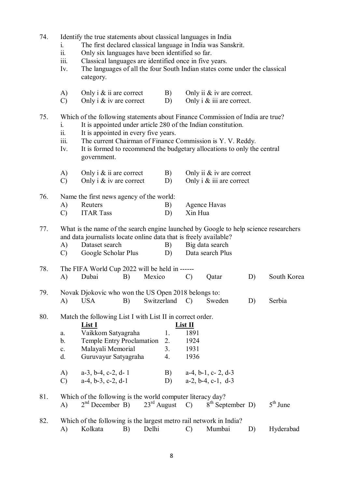- 74. Identify the true statements about classical languages in India
	- i. The first declared classical language in India was Sanskrit.
	- ii. Only six languages have been identified so far.
	- iii. Classical languages are identified once in five years.
	- Iv. The languages of all the four South Indian states come under the classical category.
	- A) Only i  $\&$  ii are correct B) Only ii  $\&$  iv are correct.
	- C) Only i  $\&$  iv are correct D) Only i  $\&$  iii are correct.

### 75. Which of the following statements about Finance Commission of India are true?

- i. It is appointed under article 280 of the Indian constitution.
- ii. It is appointed in every five years.
- iii. The current Chairman of Finance Commission is Y. V. Reddy.
- Iv. It is formed to recommend the budgetary allocations to only the central government.
- A) Only i  $\&$  ii are correct B) Only ii  $\&$  iv are correct C) Only i  $\&$  iv are correct D) Only i  $\&$  iii are correct

76. Name the first news agency of the world:

- A) Reuters B) Agence Havas
- C) ITAR Tass D) Xin Hua

## 77. What is the name of the search engine launched by Google to help science researchers and data journalists locate online data that is freely available?

- A) Dataset search B) Big data search C) Google Scholar Plus D) Data search Plus
- 78. The FIFA World Cup 2022 will be held in ------ A) Dubai B) Mexico C) Qatar D) South Korea
- 79. Novak Djokovic who won the US Open 2018 belongs to: A) USA B) Switzerland C) Sweden D) Serbia
- 80. Match the following List I with List II in correct order.

|     |               | <b>List I</b>                                                                                                       |    | List II                       |            |
|-----|---------------|---------------------------------------------------------------------------------------------------------------------|----|-------------------------------|------------|
|     | a.            | Vaikkom Satyagraha                                                                                                  | 1. | 1891                          |            |
|     | b.            | <b>Temple Entry Proclamation</b>                                                                                    | 2. | 1924                          |            |
|     | c.            | Malayali Memorial                                                                                                   | 3. | 1931                          |            |
|     | d.            | Guruvayur Satyagraha                                                                                                | 4. | 1936                          |            |
|     | $\bf{A}$      | $a-3$ , $b-4$ , $c-2$ , $d-1$                                                                                       | B) | $a-4$ , $b-1$ , $c-2$ , $d-3$ |            |
|     | $\mathcal{C}$ | $a-4, b-3, c-2, d-1$                                                                                                | D) | $a-2, b-4, c-1, d-3$          |            |
| 81. |               | Which of the following is the world computer literacy day?<br>$2nd$ December B) $23rd$ August C) $8th$ September D) |    |                               | $5th$ June |
|     | $\bf{A}$      |                                                                                                                     |    |                               |            |
| 82. |               | Which of the following is the largest metro rail network in India?                                                  |    |                               |            |

A) Kolkata B) Delhi C) Mumbai D) Hyderabad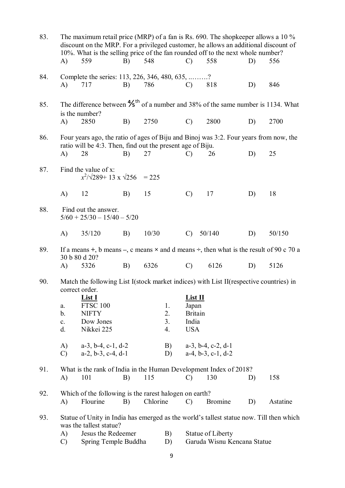| 83. | The maximum retail price (MRP) of a fan is Rs. 690. The shopkeeper allows a 10 %<br>discount on the MRP. For a privileged customer, he allows an additional discount of<br>10%. What is the selling price of the fan rounded off to the next whole number? |                                                                                                                           |    |          |          |                                                  |                                                       |    |          |  |
|-----|------------------------------------------------------------------------------------------------------------------------------------------------------------------------------------------------------------------------------------------------------------|---------------------------------------------------------------------------------------------------------------------------|----|----------|----------|--------------------------------------------------|-------------------------------------------------------|----|----------|--|
|     | A)                                                                                                                                                                                                                                                         | 559                                                                                                                       | B) | 548      |          | $\mathcal{C}$                                    | 558                                                   | D) | 556      |  |
| 84. | A)                                                                                                                                                                                                                                                         | Complete the series: 113, 226, 346, 480, 635, ?<br>717                                                                    | B) | 786      |          | $\mathcal{C}$                                    | 818                                                   | D) | 846      |  |
| 85. |                                                                                                                                                                                                                                                            | The difference between $\frac{4}{5}$ <sup>th</sup> of a number and 38% of the same number is 1134. What<br>is the number? |    |          |          |                                                  |                                                       |    |          |  |
|     | $\mathbf{A}$                                                                                                                                                                                                                                               | 2850                                                                                                                      | B) | 2750     |          | $\mathcal{C}$                                    | 2800                                                  | D) | 2700     |  |
| 86. |                                                                                                                                                                                                                                                            | Four years ago, the ratio of ages of Biju and Binoj was 3:2. Four years from now, the                                     |    |          |          |                                                  |                                                       |    |          |  |
|     | A)                                                                                                                                                                                                                                                         | ratio will be 4:3. Then, find out the present age of Biju.<br>28                                                          | B) | 27       |          | C)                                               | 26                                                    | D) | 25       |  |
| 87. |                                                                                                                                                                                                                                                            | Find the value of x:<br>$x^2/\sqrt{289} + 13 \times \sqrt{256} = 225$                                                     |    |          |          |                                                  |                                                       |    |          |  |
|     | A)                                                                                                                                                                                                                                                         | 12                                                                                                                        | B) | 15       |          | $\mathcal{C}$                                    | 17                                                    | D) | 18       |  |
| 88. | Find out the answer.<br>$5/60 + 25/30 - 15/40 - 5/20$                                                                                                                                                                                                      |                                                                                                                           |    |          |          |                                                  |                                                       |    |          |  |
|     | $\mathbf{A}$                                                                                                                                                                                                                                               | 35/120                                                                                                                    | B) | 10/30    |          | $\mathcal{C}$                                    | 50/140                                                | D) | 50/150   |  |
| 89. |                                                                                                                                                                                                                                                            | If a means +, b means -, c means $\times$ and d means $\div$ , then what is the result of 90 c 70 a<br>30 b 80 d 20?      |    |          |          |                                                  |                                                       |    |          |  |
|     | A)                                                                                                                                                                                                                                                         | 5326                                                                                                                      | B) | 6326     |          | $\mathcal{C}$                                    | 6126                                                  | D) | 5126     |  |
| 90. | Match the following List I(stock market indices) with List II(respective countries) in<br>correct order.                                                                                                                                                   |                                                                                                                           |    |          |          |                                                  |                                                       |    |          |  |
|     |                                                                                                                                                                                                                                                            | <u>List I</u>                                                                                                             |    |          |          | List II                                          |                                                       |    |          |  |
|     | a.<br>b.                                                                                                                                                                                                                                                   | <b>FTSC 100</b><br><b>NIFTY</b>                                                                                           |    |          | 1.<br>2. | Japan<br><b>Britain</b>                          |                                                       |    |          |  |
|     | $\mathbf{c}$ .                                                                                                                                                                                                                                             | Dow Jones                                                                                                                 |    |          | 3.       | India                                            |                                                       |    |          |  |
|     | d.                                                                                                                                                                                                                                                         | Nikkei 225                                                                                                                |    |          |          | <b>USA</b>                                       |                                                       |    |          |  |
|     | A)<br>$\mathcal{C}$                                                                                                                                                                                                                                        | $a-3$ , $b-4$ , $c-1$ , $d-2$<br>$a-2, b-3, c-4, d-1$                                                                     |    |          | B)<br>D) |                                                  | $a-3$ , $b-4$ , $c-2$ , $d-1$<br>$a-4, b-3, c-1, d-2$ |    |          |  |
| 91. |                                                                                                                                                                                                                                                            | What is the rank of India in the Human Development Index of 2018?                                                         |    |          |          |                                                  |                                                       |    |          |  |
|     | A)                                                                                                                                                                                                                                                         | 101                                                                                                                       | B) | 115      |          | $\mathcal{C}$                                    | 130                                                   | D) | 158      |  |
| 92. | Which of the following is the rarest halogen on earth?                                                                                                                                                                                                     |                                                                                                                           |    |          |          |                                                  |                                                       |    |          |  |
|     | A)                                                                                                                                                                                                                                                         | Flourine                                                                                                                  | B) | Chlorine |          | $\mathcal{C}$                                    | <b>Bromine</b>                                        | D) | Astatine |  |
| 93. |                                                                                                                                                                                                                                                            | Statue of Unity in India has emerged as the world's tallest statue now. Till then which<br>was the tallest statue?        |    |          |          |                                                  |                                                       |    |          |  |
|     | Jesus the Redeemer<br>B)<br>A)<br>$\mathcal{C}$<br>Spring Temple Buddha<br>D)                                                                                                                                                                              |                                                                                                                           |    |          |          | Statue of Liberty<br>Garuda Wisnu Kencana Statue |                                                       |    |          |  |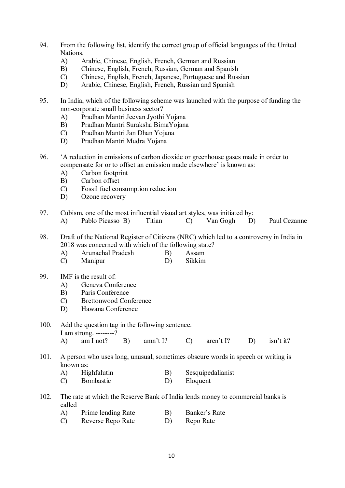- 94. From the following list, identify the correct group of official languages of the United Nations.
	- A) Arabic, Chinese, English, French, German and Russian
	- B) Chinese, English, French, Russian, German and Spanish
	- C) Chinese, English, French, Japanese, Portuguese and Russian
	- D) Arabic, Chinese, English, French, Russian and Spanish
- 95. In India, which of the following scheme was launched with the purpose of funding the non-corporate small business sector?
	- A) Pradhan Mantri Jeevan Jyothi Yojana
	- B) Pradhan Mantri Suraksha BimaYojana
	- C) Pradhan Mantri Jan Dhan Yojana
	- D) Pradhan Mantri Mudra Yojana
- 96. 'A reduction in emissions of carbon dioxide or greenhouse gases made in order to compensate for or to offset an emission made elsewhere' is known as:
	- A) Carbon footprint
	- B) Carbon offset
	- C) Fossil fuel consumption reduction
	- D) Ozone recovery
- 97. Cubism, one of the most influential visual art styles, was initiated by:
	- A) Pablo Picasso B) Titian C) Van Gogh D) Paul Cezanne
- 98. Draft of the National Register of Citizens (NRC) which led to a controversy in India in 2018 was concerned with which of the following state?
	- A) Arunachal Pradesh B) Assam
	- C) Manipur D) Sikkim
- 99. IMF is the result of:
	- A) Geneva Conference
	- B) Paris Conference
	- C) Brettonwood Conference
	- D) Hawana Conference

#### 100. Add the question tag in the following sentence.

I am strong. --------?

| A) am I not? B) amn't I? C) aren't I? D) isn't it? |  |  |  |
|----------------------------------------------------|--|--|--|

101. A person who uses long, unusual, sometimes obscure words in speech or writing is known as:

- A) Highfalutin B) Sesquipedalianist
- C) Bombastic D) Eloquent
- 102. The rate at which the Reserve Bank of India lends money to commercial banks is called
	- A) Prime lending Rate B) Banker's Rate
	- C) Reverse Repo Rate D) Repo Rate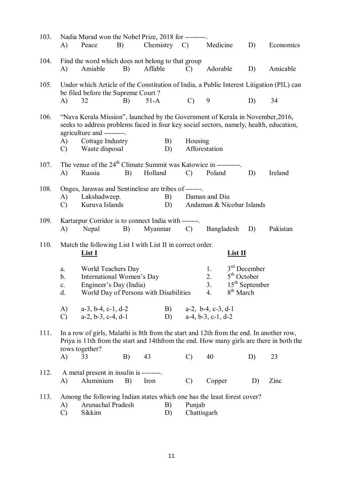| 103. | A)                                                                                                                                                                                                    | Nadia Murad won the Nobel Prize, 2018 for ---------<br>Peace                                              | B) |         | Chemistry $C$ )                            |                                               | Medicine                |           | D)                    | Economics                                                                                |  |
|------|-------------------------------------------------------------------------------------------------------------------------------------------------------------------------------------------------------|-----------------------------------------------------------------------------------------------------------|----|---------|--------------------------------------------|-----------------------------------------------|-------------------------|-----------|-----------------------|------------------------------------------------------------------------------------------|--|
| 104. | A)                                                                                                                                                                                                    | Find the word which does not belong to that group<br>Amiable                                              | B) | Affable |                                            | Adorable<br>$\mathcal{C}$                     |                         |           | D)                    | Amicable                                                                                 |  |
| 105. |                                                                                                                                                                                                       | Under which Article of the Constitution of India, a Public Interest Litigation (PIL) can                  |    |         |                                            |                                               |                         |           |                       |                                                                                          |  |
|      | A)                                                                                                                                                                                                    | be filed before the Supreme Court?<br>32                                                                  | B) | $51-A$  |                                            | $\mathcal{C}$                                 | 9                       |           | D)                    | 34                                                                                       |  |
| 106. | "Nava Kerala Mission", launched by the Government of Kerala in November, 2016,<br>seeks to address problems faced in four key social sectors, namely, health, education,<br>agriculture and --------- |                                                                                                           |    |         |                                            |                                               |                         |           |                       |                                                                                          |  |
|      | A)<br>$\mathcal{C}$                                                                                                                                                                                   | Cottage Industry<br>Waste disposal                                                                        |    |         | B)<br>D)                                   | Housing                                       | Afforestation           |           |                       |                                                                                          |  |
| 107. | A)                                                                                                                                                                                                    | The venue of the 24 <sup>th</sup> Climate Summit was Katowice in ----------<br>Russia                     | B) | Holland |                                            | $\mathcal{C}$                                 | Poland                  |           | D)                    | Ireland                                                                                  |  |
|      |                                                                                                                                                                                                       |                                                                                                           |    |         |                                            |                                               |                         |           |                       |                                                                                          |  |
| 108. |                                                                                                                                                                                                       | Onges, Jarawas and Sentinelese are tribes of -------                                                      |    |         |                                            |                                               |                         |           |                       |                                                                                          |  |
|      | Lakshadweep.<br>B)<br>A)<br>Kuruva Islands<br>$\mathcal{C}$<br>D)                                                                                                                                     |                                                                                                           |    |         | Daman and Diu<br>Andaman & Nicobar Islands |                                               |                         |           |                       |                                                                                          |  |
| 109. | Kartarpur Corridor is to connect India with -------.<br>Myanmar<br>Nepal<br>B)<br>$\mathcal{C}$<br>Bangladesh<br>D)<br>A)                                                                             |                                                                                                           |    |         |                                            |                                               |                         | Pakistan  |                       |                                                                                          |  |
| 110. |                                                                                                                                                                                                       | Match the following List I with List II in correct order.                                                 |    |         |                                            |                                               |                         |           |                       |                                                                                          |  |
|      |                                                                                                                                                                                                       | <b>List I</b>                                                                                             |    |         |                                            |                                               |                         | $List$ II |                       |                                                                                          |  |
|      | a.                                                                                                                                                                                                    | World Teachers Day                                                                                        |    |         |                                            |                                               | 1.                      |           | $3rd$ December        |                                                                                          |  |
|      | b.<br>$\mathbf{c}$ .                                                                                                                                                                                  | International Women's Day<br>Engineer's Day (India)                                                       |    |         |                                            | $5th$ October<br>2.<br>$15th$ September<br>3. |                         |           |                       |                                                                                          |  |
|      | d.                                                                                                                                                                                                    | World Day of Persons with Disabilities                                                                    |    |         |                                            |                                               | 4.                      |           | 8 <sup>th</sup> March |                                                                                          |  |
|      | A)                                                                                                                                                                                                    | $a-3$ , $b-4$ , $c-1$ , $d-2$                                                                             |    |         |                                            | B) $a-2$ , $b-4$ , $c-3$ , $d-1$              |                         |           |                       |                                                                                          |  |
|      | $\mathcal{C}$                                                                                                                                                                                         | $a-2, b-3, c-4, d-1$                                                                                      |    |         |                                            |                                               | D) $a-4, b-3, c-1, d-2$ |           |                       |                                                                                          |  |
| 111. |                                                                                                                                                                                                       | In a row of girls, Malathi is 8th from the start and 12th from the end. In another row,<br>rows together? |    |         |                                            |                                               |                         |           |                       | Priya is 11th from the start and 14th from the end. How many girls are there in both the |  |
|      | A)                                                                                                                                                                                                    | 33                                                                                                        | B) | 43      |                                            | $\mathcal{C}$                                 | 40                      |           | D)                    | 23                                                                                       |  |
| 112. | A)                                                                                                                                                                                                    | A metal present in insulin is --------<br>Aluminium                                                       | B) | Iron    |                                            | $\mathcal{C}$                                 | Copper                  |           | D)                    | Zinc                                                                                     |  |
| 113. | Among the following Indian states which one has the least forest cover?<br>Arunachal Pradesh<br>Punjab<br>A)<br>B)<br>Sikkim<br>$\mathcal{C}$<br>Chattisgarh<br>D)                                    |                                                                                                           |    |         |                                            |                                               |                         |           |                       |                                                                                          |  |